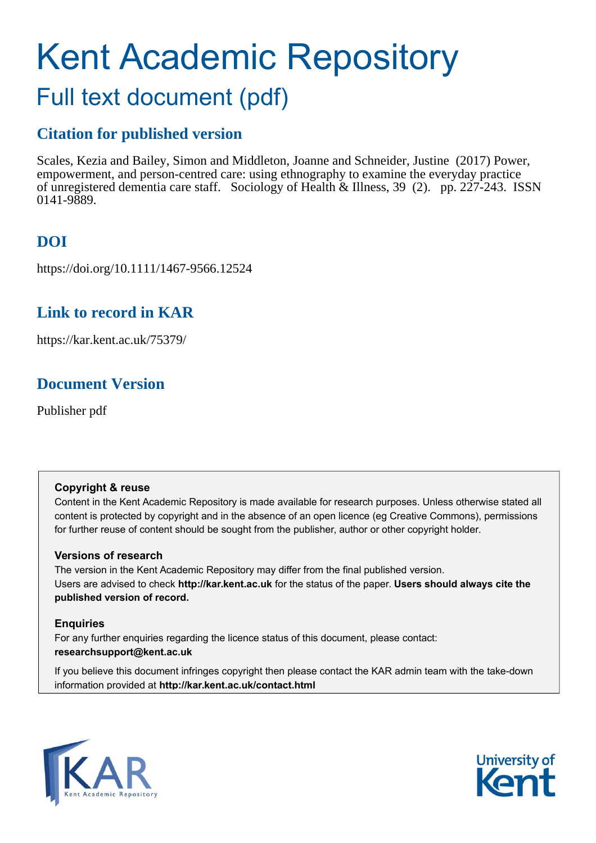# Kent Academic Repository Full text document (pdf)

### **Citation for published version**

Scales, Kezia and Bailey, Simon and Middleton, Joanne and Schneider, Justine (2017) Power, empowerment, and person-centred care: using ethnography to examine the everyday practice of unregistered dementia care staff. Sociology of Health & Illness, 39 (2). pp. 227-243. ISSN 0141-9889.

# **DOI**

https://doi.org/10.1111/1467-9566.12524

### **Link to record in KAR**

https://kar.kent.ac.uk/75379/

### **Document Version**

Publisher pdf

### **Copyright & reuse**

Content in the Kent Academic Repository is made available for research purposes. Unless otherwise stated all content is protected by copyright and in the absence of an open licence (eg Creative Commons), permissions for further reuse of content should be sought from the publisher, author or other copyright holder.

### **Versions of research**

The version in the Kent Academic Repository may differ from the final published version. Users are advised to check **http://kar.kent.ac.uk** for the status of the paper. **Users should always cite the published version of record.**

### **Enquiries**

For any further enquiries regarding the licence status of this document, please contact: **researchsupport@kent.ac.uk**

If you believe this document infringes copyright then please contact the KAR admin team with the take-down information provided at **http://kar.kent.ac.uk/contact.html**



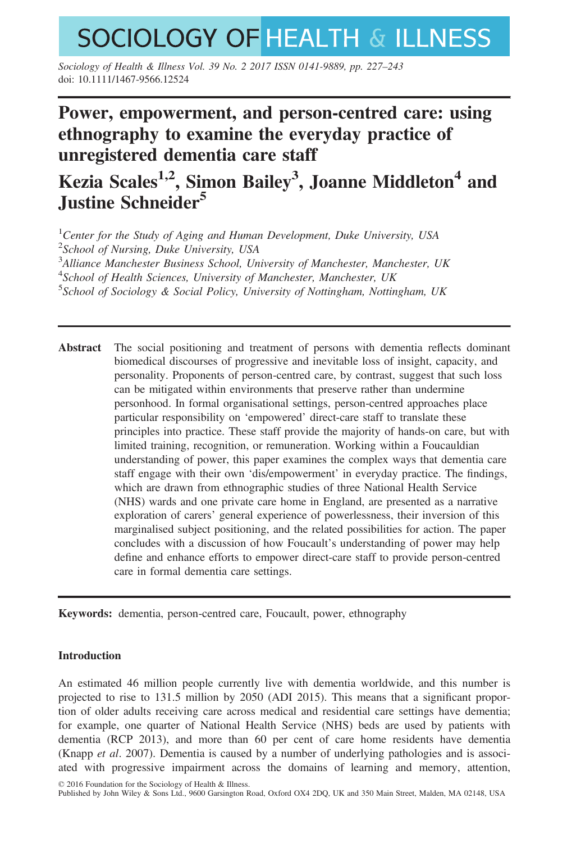# **SOCIOLOGY OF HEALTH & ILLNESS**

Sociology of Health & Illness Vol. 39 No. 2 2017 ISSN 0141-9889, pp. 227–243 doi: 10.1111/1467-9566.12524

### Power, empowerment, and person-centred care: using ethnography to examine the everyday practice of unregistered dementia care staff

## Kezia Scales<sup>1,2</sup>, Simon Bailey<sup>3</sup>, Joanne Middleton<sup>4</sup> and Justine Schneider<sup>5</sup>

<sup>1</sup>Center for the Study of Aging and Human Development, Duke University, USA <sup>2</sup>School of Nursing, Duke University, USA <sup>3</sup> Alliance Manchester Business School, University of Manchester, Manchester, UK <sup>4</sup>School of Health Sciences, University of Manchester, Manchester, UK <sup>5</sup>School of Sociology & Social Policy, University of Nottingham, Nottingham, UK

Abstract The social positioning and treatment of persons with dementia reflects dominant biomedical discourses of progressive and inevitable loss of insight, capacity, and personality. Proponents of person-centred care, by contrast, suggest that such loss can be mitigated within environments that preserve rather than undermine personhood. In formal organisational settings, person-centred approaches place particular responsibility on 'empowered' direct-care staff to translate these principles into practice. These staff provide the majority of hands-on care, but with limited training, recognition, or remuneration. Working within a Foucauldian understanding of power, this paper examines the complex ways that dementia care staff engage with their own 'dis/empowerment' in everyday practice. The findings, which are drawn from ethnographic studies of three National Health Service (NHS) wards and one private care home in England, are presented as a narrative exploration of carers' general experience of powerlessness, their inversion of this marginalised subject positioning, and the related possibilities for action. The paper concludes with a discussion of how Foucault's understanding of power may help define and enhance efforts to empower direct-care staff to provide person-centred care in formal dementia care settings.

Keywords: dementia, person-centred care, Foucault, power, ethnography

#### Introduction

An estimated 46 million people currently live with dementia worldwide, and this number is projected to rise to 131.5 million by 2050 (ADI 2015). This means that a significant proportion of older adults receiving care across medical and residential care settings have dementia; for example, one quarter of National Health Service (NHS) beds are used by patients with dementia (RCP 2013), and more than 60 per cent of care home residents have dementia (Knapp *et al.* 2007). Dementia is caused by a number of underlying pathologies and is associated with progressive impairment across the domains of learning and memory, attention,

© 2016 Foundation for the Sociology of Health & Illness.

Published by John Wiley & Sons Ltd., 9600 Garsington Road, Oxford OX4 2DQ, UK and 350 Main Street, Malden, MA 02148, USA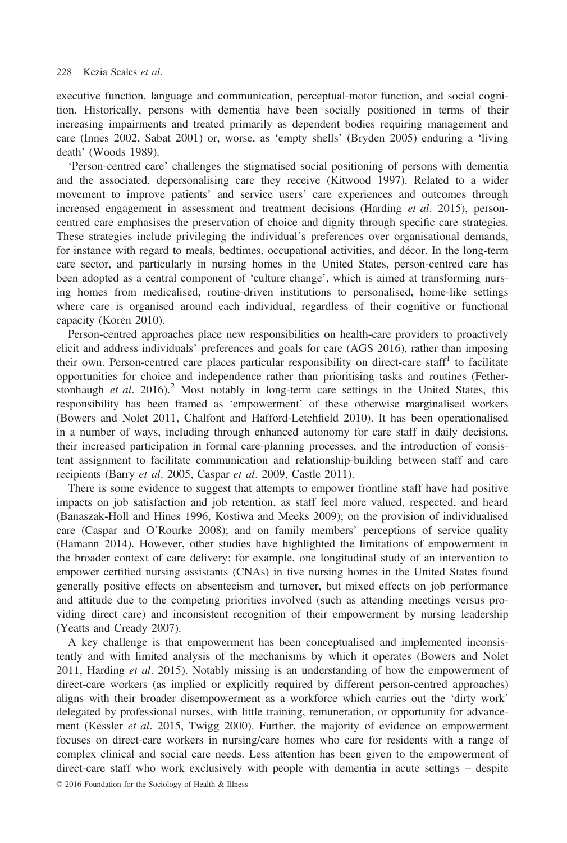executive function, language and communication, perceptual-motor function, and social cognition. Historically, persons with dementia have been socially positioned in terms of their increasing impairments and treated primarily as dependent bodies requiring management and care (Innes 2002, Sabat 2001) or, worse, as 'empty shells' (Bryden 2005) enduring a 'living death' (Woods 1989).

'Person-centred care' challenges the stigmatised social positioning of persons with dementia and the associated, depersonalising care they receive (Kitwood 1997). Related to a wider movement to improve patients' and service users' care experiences and outcomes through increased engagement in assessment and treatment decisions (Harding *et al.* 2015), personcentred care emphasises the preservation of choice and dignity through specific care strategies. These strategies include privileging the individual's preferences over organisational demands, for instance with regard to meals, bedtimes, occupational activities, and decor. In the long-term care sector, and particularly in nursing homes in the United States, person-centred care has been adopted as a central component of 'culture change', which is aimed at transforming nursing homes from medicalised, routine-driven institutions to personalised, home-like settings where care is organised around each individual, regardless of their cognitive or functional capacity (Koren 2010).

Person-centred approaches place new responsibilities on health-care providers to proactively elicit and address individuals' preferences and goals for care (AGS 2016), rather than imposing their own. Person-centred care places particular responsibility on direct-care staff<sup>1</sup> to facilitate opportunities for choice and independence rather than prioritising tasks and routines (Fetherstonhaugh et al.  $2016$ .<sup>2</sup> Most notably in long-term care settings in the United States, this responsibility has been framed as 'empowerment' of these otherwise marginalised workers (Bowers and Nolet 2011, Chalfont and Hafford-Letchfield 2010). It has been operationalised in a number of ways, including through enhanced autonomy for care staff in daily decisions, their increased participation in formal care-planning processes, and the introduction of consistent assignment to facilitate communication and relationship-building between staff and care recipients (Barry et al. 2005, Caspar et al. 2009, Castle 2011).

There is some evidence to suggest that attempts to empower frontline staff have had positive impacts on job satisfaction and job retention, as staff feel more valued, respected, and heard (Banaszak-Holl and Hines 1996, Kostiwa and Meeks 2009); on the provision of individualised care (Caspar and O'Rourke 2008); and on family members' perceptions of service quality (Hamann 2014). However, other studies have highlighted the limitations of empowerment in the broader context of care delivery; for example, one longitudinal study of an intervention to empower certified nursing assistants (CNAs) in five nursing homes in the United States found generally positive effects on absenteeism and turnover, but mixed effects on job performance and attitude due to the competing priorities involved (such as attending meetings versus providing direct care) and inconsistent recognition of their empowerment by nursing leadership (Yeatts and Cready 2007).

A key challenge is that empowerment has been conceptualised and implemented inconsistently and with limited analysis of the mechanisms by which it operates (Bowers and Nolet 2011, Harding et al. 2015). Notably missing is an understanding of how the empowerment of direct-care workers (as implied or explicitly required by different person-centred approaches) aligns with their broader disempowerment as a workforce which carries out the 'dirty work' delegated by professional nurses, with little training, remuneration, or opportunity for advancement (Kessler et al. 2015, Twigg 2000). Further, the majority of evidence on empowerment focuses on direct-care workers in nursing/care homes who care for residents with a range of complex clinical and social care needs. Less attention has been given to the empowerment of direct-care staff who work exclusively with people with dementia in acute settings – despite

© 2016 Foundation for the Sociology of Health & Illness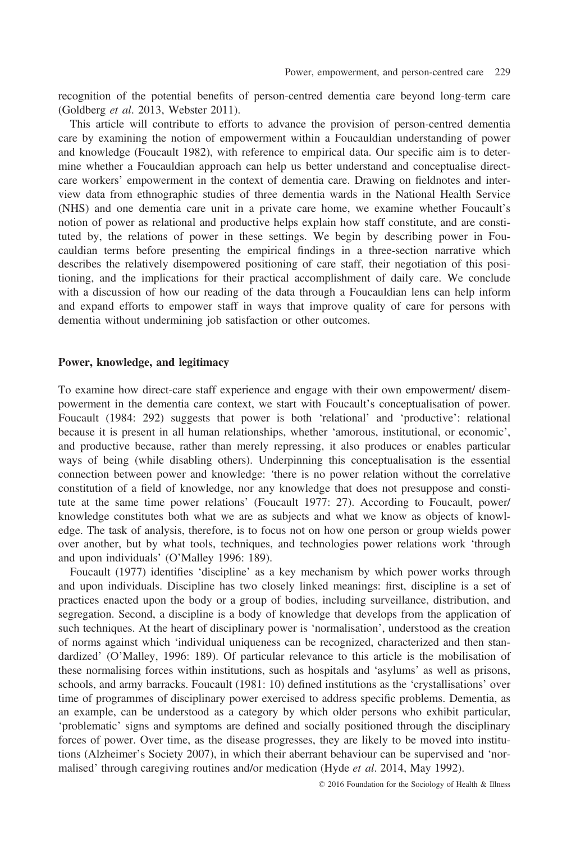recognition of the potential benefits of person-centred dementia care beyond long-term care (Goldberg et al. 2013, Webster 2011).

This article will contribute to efforts to advance the provision of person-centred dementia care by examining the notion of empowerment within a Foucauldian understanding of power and knowledge (Foucault 1982), with reference to empirical data. Our specific aim is to determine whether a Foucauldian approach can help us better understand and conceptualise directcare workers' empowerment in the context of dementia care. Drawing on fieldnotes and interview data from ethnographic studies of three dementia wards in the National Health Service (NHS) and one dementia care unit in a private care home, we examine whether Foucault's notion of power as relational and productive helps explain how staff constitute, and are constituted by, the relations of power in these settings. We begin by describing power in Foucauldian terms before presenting the empirical findings in a three-section narrative which describes the relatively disempowered positioning of care staff, their negotiation of this positioning, and the implications for their practical accomplishment of daily care. We conclude with a discussion of how our reading of the data through a Foucauldian lens can help inform and expand efforts to empower staff in ways that improve quality of care for persons with dementia without undermining job satisfaction or other outcomes.

#### Power, knowledge, and legitimacy

To examine how direct-care staff experience and engage with their own empowerment/ disempowerment in the dementia care context, we start with Foucault's conceptualisation of power. Foucault (1984: 292) suggests that power is both 'relational' and 'productive': relational because it is present in all human relationships, whether 'amorous, institutional, or economic', and productive because, rather than merely repressing, it also produces or enables particular ways of being (while disabling others). Underpinning this conceptualisation is the essential connection between power and knowledge: 'there is no power relation without the correlative constitution of a field of knowledge, nor any knowledge that does not presuppose and constitute at the same time power relations' (Foucault 1977: 27). According to Foucault, power/ knowledge constitutes both what we are as subjects and what we know as objects of knowledge. The task of analysis, therefore, is to focus not on how one person or group wields power over another, but by what tools, techniques, and technologies power relations work 'through and upon individuals' (O'Malley 1996: 189).

Foucault (1977) identifies 'discipline' as a key mechanism by which power works through and upon individuals. Discipline has two closely linked meanings: first, discipline is a set of practices enacted upon the body or a group of bodies, including surveillance, distribution, and segregation. Second, a discipline is a body of knowledge that develops from the application of such techniques. At the heart of disciplinary power is 'normalisation', understood as the creation of norms against which 'individual uniqueness can be recognized, characterized and then standardized' (O'Malley, 1996: 189). Of particular relevance to this article is the mobilisation of these normalising forces within institutions, such as hospitals and 'asylums' as well as prisons, schools, and army barracks. Foucault (1981: 10) defined institutions as the 'crystallisations' over time of programmes of disciplinary power exercised to address specific problems. Dementia, as an example, can be understood as a category by which older persons who exhibit particular, 'problematic' signs and symptoms are defined and socially positioned through the disciplinary forces of power. Over time, as the disease progresses, they are likely to be moved into institutions (Alzheimer's Society 2007), in which their aberrant behaviour can be supervised and 'normalised' through caregiving routines and/or medication (Hyde et al. 2014, May 1992).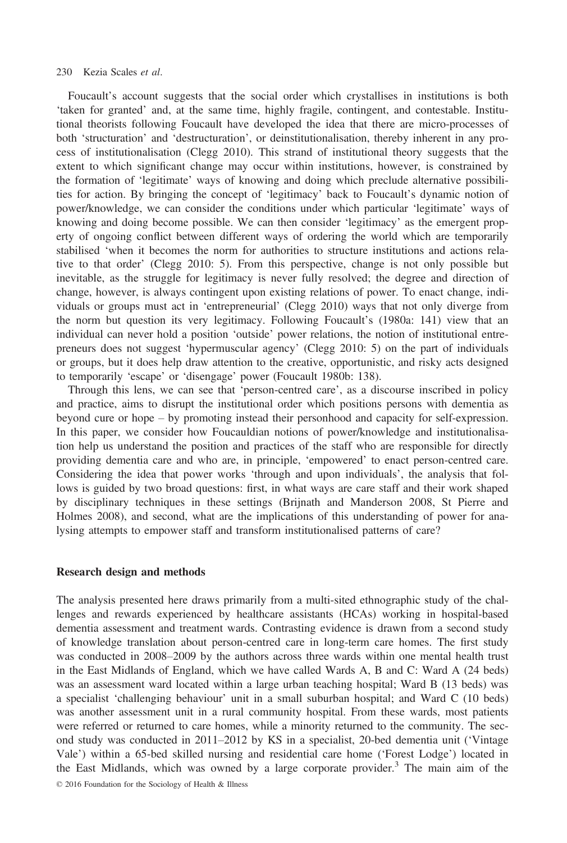Foucault's account suggests that the social order which crystallises in institutions is both 'taken for granted' and, at the same time, highly fragile, contingent, and contestable. Institutional theorists following Foucault have developed the idea that there are micro-processes of both 'structuration' and 'destructuration', or deinstitutionalisation, thereby inherent in any process of institutionalisation (Clegg 2010). This strand of institutional theory suggests that the extent to which significant change may occur within institutions, however, is constrained by the formation of 'legitimate' ways of knowing and doing which preclude alternative possibilities for action. By bringing the concept of 'legitimacy' back to Foucault's dynamic notion of power/knowledge, we can consider the conditions under which particular 'legitimate' ways of knowing and doing become possible. We can then consider 'legitimacy' as the emergent property of ongoing conflict between different ways of ordering the world which are temporarily stabilised 'when it becomes the norm for authorities to structure institutions and actions relative to that order' (Clegg 2010: 5). From this perspective, change is not only possible but inevitable, as the struggle for legitimacy is never fully resolved; the degree and direction of change, however, is always contingent upon existing relations of power. To enact change, individuals or groups must act in 'entrepreneurial' (Clegg 2010) ways that not only diverge from the norm but question its very legitimacy. Following Foucault's (1980a: 141) view that an individual can never hold a position 'outside' power relations, the notion of institutional entrepreneurs does not suggest 'hypermuscular agency' (Clegg 2010: 5) on the part of individuals or groups, but it does help draw attention to the creative, opportunistic, and risky acts designed to temporarily 'escape' or 'disengage' power (Foucault 1980b: 138).

Through this lens, we can see that 'person-centred care', as a discourse inscribed in policy and practice, aims to disrupt the institutional order which positions persons with dementia as beyond cure or hope – by promoting instead their personhood and capacity for self-expression. In this paper, we consider how Foucauldian notions of power/knowledge and institutionalisation help us understand the position and practices of the staff who are responsible for directly providing dementia care and who are, in principle, 'empowered' to enact person-centred care. Considering the idea that power works 'through and upon individuals', the analysis that follows is guided by two broad questions: first, in what ways are care staff and their work shaped by disciplinary techniques in these settings (Brijnath and Manderson 2008, St Pierre and Holmes 2008), and second, what are the implications of this understanding of power for analysing attempts to empower staff and transform institutionalised patterns of care?

#### Research design and methods

The analysis presented here draws primarily from a multi-sited ethnographic study of the challenges and rewards experienced by healthcare assistants (HCAs) working in hospital-based dementia assessment and treatment wards. Contrasting evidence is drawn from a second study of knowledge translation about person-centred care in long-term care homes. The first study was conducted in 2008–2009 by the authors across three wards within one mental health trust in the East Midlands of England, which we have called Wards A, B and C: Ward A (24 beds) was an assessment ward located within a large urban teaching hospital; Ward B (13 beds) was a specialist 'challenging behaviour' unit in a small suburban hospital; and Ward C (10 beds) was another assessment unit in a rural community hospital. From these wards, most patients were referred or returned to care homes, while a minority returned to the community. The second study was conducted in 2011–2012 by KS in a specialist, 20-bed dementia unit ('Vintage Vale') within a 65-bed skilled nursing and residential care home ('Forest Lodge') located in the East Midlands, which was owned by a large corporate provider.<sup>3</sup> The main aim of the © 2016 Foundation for the Sociology of Health & Illness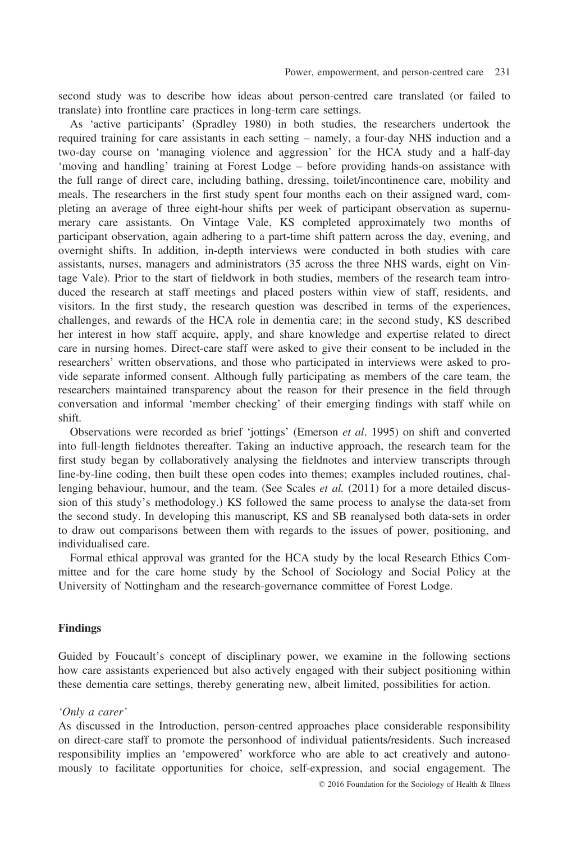second study was to describe how ideas about person-centred care translated (or failed to translate) into frontline care practices in long-term care settings.

As 'active participants' (Spradley 1980) in both studies, the researchers undertook the required training for care assistants in each setting – namely, a four-day NHS induction and a two-day course on 'managing violence and aggression' for the HCA study and a half-day 'moving and handling' training at Forest Lodge – before providing hands-on assistance with the full range of direct care, including bathing, dressing, toilet/incontinence care, mobility and meals. The researchers in the first study spent four months each on their assigned ward, completing an average of three eight-hour shifts per week of participant observation as supernumerary care assistants. On Vintage Vale, KS completed approximately two months of participant observation, again adhering to a part-time shift pattern across the day, evening, and overnight shifts. In addition, in-depth interviews were conducted in both studies with care assistants, nurses, managers and administrators (35 across the three NHS wards, eight on Vintage Vale). Prior to the start of fieldwork in both studies, members of the research team introduced the research at staff meetings and placed posters within view of staff, residents, and visitors. In the first study, the research question was described in terms of the experiences, challenges, and rewards of the HCA role in dementia care; in the second study, KS described her interest in how staff acquire, apply, and share knowledge and expertise related to direct care in nursing homes. Direct-care staff were asked to give their consent to be included in the researchers' written observations, and those who participated in interviews were asked to provide separate informed consent. Although fully participating as members of the care team, the researchers maintained transparency about the reason for their presence in the field through conversation and informal 'member checking' of their emerging findings with staff while on shift.

Observations were recorded as brief 'jottings' (Emerson et al. 1995) on shift and converted into full-length fieldnotes thereafter. Taking an inductive approach, the research team for the first study began by collaboratively analysing the fieldnotes and interview transcripts through line-by-line coding, then built these open codes into themes; examples included routines, challenging behaviour, humour, and the team. (See Scales *et al.*  $(2011)$  for a more detailed discussion of this study's methodology.) KS followed the same process to analyse the data-set from the second study. In developing this manuscript, KS and SB reanalysed both data-sets in order to draw out comparisons between them with regards to the issues of power, positioning, and individualised care.

Formal ethical approval was granted for the HCA study by the local Research Ethics Committee and for the care home study by the School of Sociology and Social Policy at the University of Nottingham and the research-governance committee of Forest Lodge.

#### Findings

Guided by Foucault's concept of disciplinary power, we examine in the following sections how care assistants experienced but also actively engaged with their subject positioning within these dementia care settings, thereby generating new, albeit limited, possibilities for action.

#### 'Only a carer'

As discussed in the Introduction, person-centred approaches place considerable responsibility on direct-care staff to promote the personhood of individual patients/residents. Such increased responsibility implies an 'empowered' workforce who are able to act creatively and autonomously to facilitate opportunities for choice, self-expression, and social engagement. The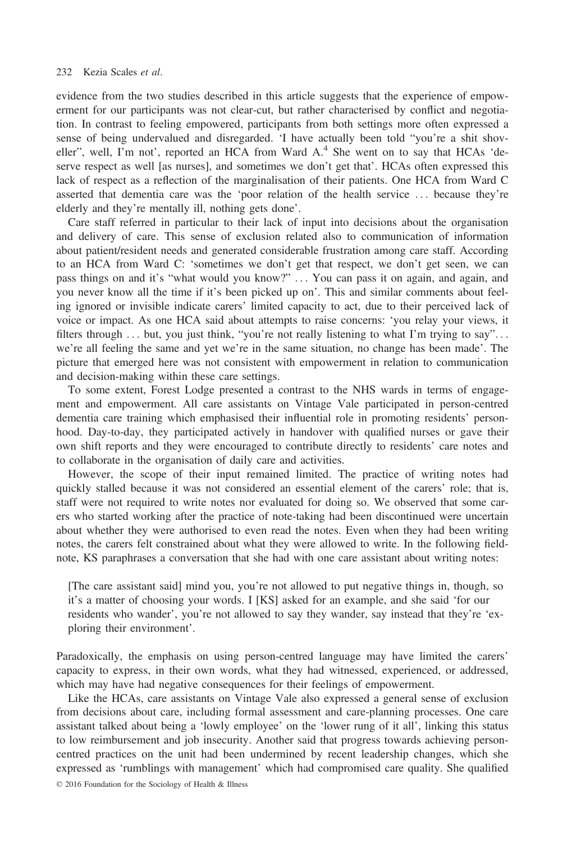evidence from the two studies described in this article suggests that the experience of empowerment for our participants was not clear-cut, but rather characterised by conflict and negotiation. In contrast to feeling empowered, participants from both settings more often expressed a sense of being undervalued and disregarded. 'I have actually been told "you're a shit shoveller", well, I'm not', reported an HCA from Ward  $A$ .<sup>4</sup> She went on to say that HCAs 'deserve respect as well [as nurses], and sometimes we don't get that'. HCAs often expressed this lack of respect as a reflection of the marginalisation of their patients. One HCA from Ward C asserted that dementia care was the 'poor relation of the health service ... because they're elderly and they're mentally ill, nothing gets done'.

Care staff referred in particular to their lack of input into decisions about the organisation and delivery of care. This sense of exclusion related also to communication of information about patient/resident needs and generated considerable frustration among care staff. According to an HCA from Ward C: 'sometimes we don't get that respect, we don't get seen, we can pass things on and it's "what would you know?" ... You can pass it on again, and again, and you never know all the time if it's been picked up on'. This and similar comments about feeling ignored or invisible indicate carers' limited capacity to act, due to their perceived lack of voice or impact. As one HCA said about attempts to raise concerns: 'you relay your views, it filters through  $\dots$  but, you just think, "you're not really listening to what I'm trying to say"... we're all feeling the same and yet we're in the same situation, no change has been made'. The picture that emerged here was not consistent with empowerment in relation to communication and decision-making within these care settings.

To some extent, Forest Lodge presented a contrast to the NHS wards in terms of engagement and empowerment. All care assistants on Vintage Vale participated in person-centred dementia care training which emphasised their influential role in promoting residents' personhood. Day-to-day, they participated actively in handover with qualified nurses or gave their own shift reports and they were encouraged to contribute directly to residents' care notes and to collaborate in the organisation of daily care and activities.

However, the scope of their input remained limited. The practice of writing notes had quickly stalled because it was not considered an essential element of the carers' role; that is, staff were not required to write notes nor evaluated for doing so. We observed that some carers who started working after the practice of note-taking had been discontinued were uncertain about whether they were authorised to even read the notes. Even when they had been writing notes, the carers felt constrained about what they were allowed to write. In the following fieldnote, KS paraphrases a conversation that she had with one care assistant about writing notes:

[The care assistant said] mind you, you're not allowed to put negative things in, though, so it's a matter of choosing your words. I [KS] asked for an example, and she said 'for our residents who wander', you're not allowed to say they wander, say instead that they're 'exploring their environment'.

Paradoxically, the emphasis on using person-centred language may have limited the carers' capacity to express, in their own words, what they had witnessed, experienced, or addressed, which may have had negative consequences for their feelings of empowerment.

Like the HCAs, care assistants on Vintage Vale also expressed a general sense of exclusion from decisions about care, including formal assessment and care-planning processes. One care assistant talked about being a 'lowly employee' on the 'lower rung of it all', linking this status to low reimbursement and job insecurity. Another said that progress towards achieving personcentred practices on the unit had been undermined by recent leadership changes, which she expressed as 'rumblings with management' which had compromised care quality. She qualified

© 2016 Foundation for the Sociology of Health & Illness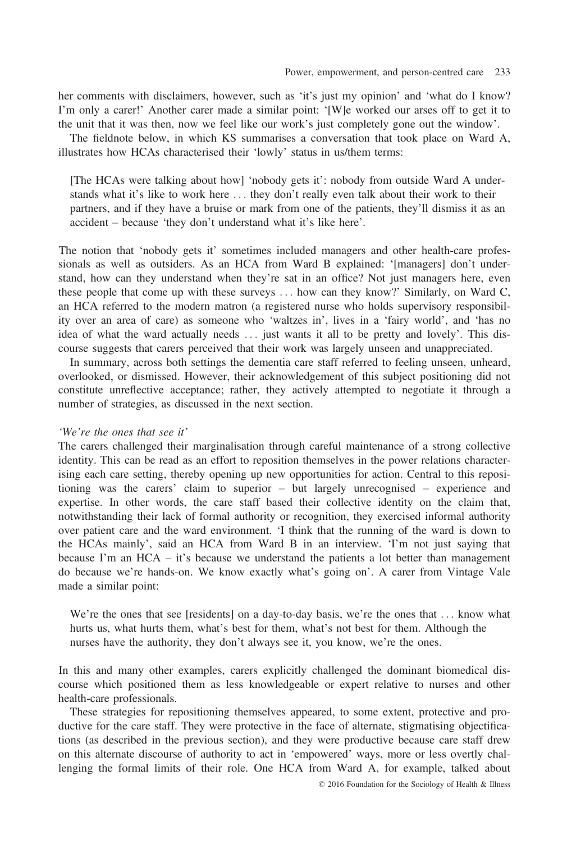her comments with disclaimers, however, such as 'it's just my opinion' and 'what do I know? I'm only a carer!' Another carer made a similar point: '[W]e worked our arses off to get it to the unit that it was then, now we feel like our work's just completely gone out the window'.

The fieldnote below, in which KS summarises a conversation that took place on Ward A, illustrates how HCAs characterised their 'lowly' status in us/them terms:

[The HCAs were talking about how] 'nobody gets it': nobody from outside Ward A understands what it's like to work here ... they don't really even talk about their work to their partners, and if they have a bruise or mark from one of the patients, they'll dismiss it as an accident – because 'they don't understand what it's like here'.

The notion that 'nobody gets it' sometimes included managers and other health-care professionals as well as outsiders. As an HCA from Ward B explained: '[managers] don't understand, how can they understand when they're sat in an office? Not just managers here, even these people that come up with these surveys ... how can they know?' Similarly, on Ward C, an HCA referred to the modern matron (a registered nurse who holds supervisory responsibility over an area of care) as someone who 'waltzes in', lives in a 'fairy world', and 'has no idea of what the ward actually needs ... just wants it all to be pretty and lovely'. This discourse suggests that carers perceived that their work was largely unseen and unappreciated.

In summary, across both settings the dementia care staff referred to feeling unseen, unheard, overlooked, or dismissed. However, their acknowledgement of this subject positioning did not constitute unreflective acceptance; rather, they actively attempted to negotiate it through a number of strategies, as discussed in the next section.

#### 'We're the ones that see it'

The carers challenged their marginalisation through careful maintenance of a strong collective identity. This can be read as an effort to reposition themselves in the power relations characterising each care setting, thereby opening up new opportunities for action. Central to this repositioning was the carers' claim to superior – but largely unrecognised – experience and expertise. In other words, the care staff based their collective identity on the claim that, notwithstanding their lack of formal authority or recognition, they exercised informal authority over patient care and the ward environment. 'I think that the running of the ward is down to the HCAs mainly', said an HCA from Ward B in an interview. 'I'm not just saying that because I'm an  $HCA - it's because we understand the patients a lot better than management$ do because we're hands-on. We know exactly what's going on'. A carer from Vintage Vale made a similar point:

We're the ones that see [residents] on a day-to-day basis, we're the ones that ... know what hurts us, what hurts them, what's best for them, what's not best for them. Although the nurses have the authority, they don't always see it, you know, we're the ones.

In this and many other examples, carers explicitly challenged the dominant biomedical discourse which positioned them as less knowledgeable or expert relative to nurses and other health-care professionals.

These strategies for repositioning themselves appeared, to some extent, protective and productive for the care staff. They were protective in the face of alternate, stigmatising objectifications (as described in the previous section), and they were productive because care staff drew on this alternate discourse of authority to act in 'empowered' ways, more or less overtly challenging the formal limits of their role. One HCA from Ward A, for example, talked about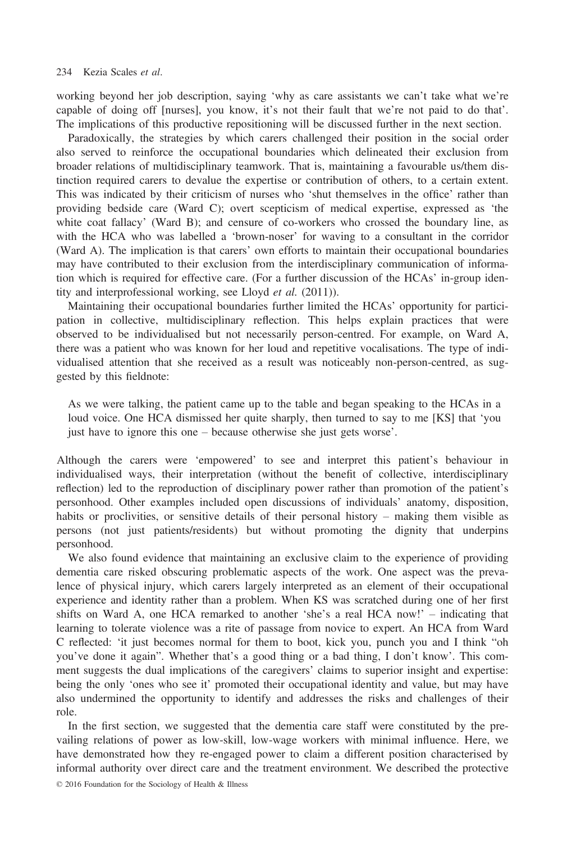working beyond her job description, saying 'why as care assistants we can't take what we're capable of doing off [nurses], you know, it's not their fault that we're not paid to do that'. The implications of this productive repositioning will be discussed further in the next section.

Paradoxically, the strategies by which carers challenged their position in the social order also served to reinforce the occupational boundaries which delineated their exclusion from broader relations of multidisciplinary teamwork. That is, maintaining a favourable us/them distinction required carers to devalue the expertise or contribution of others, to a certain extent. This was indicated by their criticism of nurses who 'shut themselves in the office' rather than providing bedside care (Ward C); overt scepticism of medical expertise, expressed as 'the white coat fallacy' (Ward B); and censure of co-workers who crossed the boundary line, as with the HCA who was labelled a 'brown-noser' for waving to a consultant in the corridor (Ward A). The implication is that carers' own efforts to maintain their occupational boundaries may have contributed to their exclusion from the interdisciplinary communication of information which is required for effective care. (For a further discussion of the HCAs' in-group identity and interprofessional working, see Lloyd et al. (2011)).

Maintaining their occupational boundaries further limited the HCAs' opportunity for participation in collective, multidisciplinary reflection. This helps explain practices that were observed to be individualised but not necessarily person-centred. For example, on Ward A, there was a patient who was known for her loud and repetitive vocalisations. The type of individualised attention that she received as a result was noticeably non-person-centred, as suggested by this fieldnote:

As we were talking, the patient came up to the table and began speaking to the HCAs in a loud voice. One HCA dismissed her quite sharply, then turned to say to me [KS] that 'you just have to ignore this one – because otherwise she just gets worse'.

Although the carers were 'empowered' to see and interpret this patient's behaviour in individualised ways, their interpretation (without the benefit of collective, interdisciplinary reflection) led to the reproduction of disciplinary power rather than promotion of the patient's personhood. Other examples included open discussions of individuals' anatomy, disposition, habits or proclivities, or sensitive details of their personal history – making them visible as persons (not just patients/residents) but without promoting the dignity that underpins personhood.

We also found evidence that maintaining an exclusive claim to the experience of providing dementia care risked obscuring problematic aspects of the work. One aspect was the prevalence of physical injury, which carers largely interpreted as an element of their occupational experience and identity rather than a problem. When KS was scratched during one of her first shifts on Ward A, one HCA remarked to another 'she's a real HCA now!' – indicating that learning to tolerate violence was a rite of passage from novice to expert. An HCA from Ward C reflected: 'it just becomes normal for them to boot, kick you, punch you and I think "oh you've done it again". Whether that's a good thing or a bad thing, I don't know'. This comment suggests the dual implications of the caregivers' claims to superior insight and expertise: being the only 'ones who see it' promoted their occupational identity and value, but may have also undermined the opportunity to identify and addresses the risks and challenges of their role.

In the first section, we suggested that the dementia care staff were constituted by the prevailing relations of power as low-skill, low-wage workers with minimal influence. Here, we have demonstrated how they re-engaged power to claim a different position characterised by informal authority over direct care and the treatment environment. We described the protective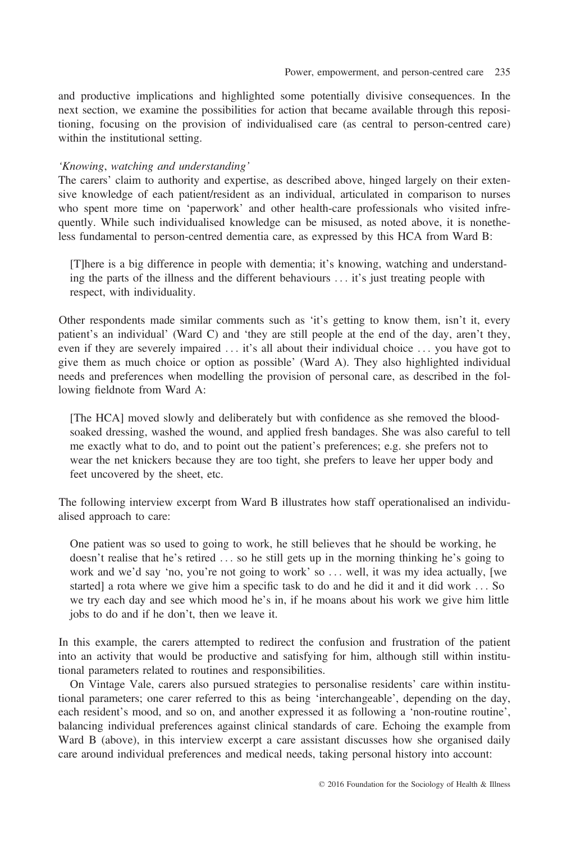and productive implications and highlighted some potentially divisive consequences. In the next section, we examine the possibilities for action that became available through this repositioning, focusing on the provision of individualised care (as central to person-centred care) within the institutional setting.

#### 'Knowing, watching and understanding'

The carers' claim to authority and expertise, as described above, hinged largely on their extensive knowledge of each patient/resident as an individual, articulated in comparison to nurses who spent more time on 'paperwork' and other health-care professionals who visited infrequently. While such individualised knowledge can be misused, as noted above, it is nonetheless fundamental to person-centred dementia care, as expressed by this HCA from Ward B:

[T]here is a big difference in people with dementia; it's knowing, watching and understanding the parts of the illness and the different behaviours ... it's just treating people with respect, with individuality.

Other respondents made similar comments such as 'it's getting to know them, isn't it, every patient's an individual' (Ward C) and 'they are still people at the end of the day, aren't they, even if they are severely impaired ... it's all about their individual choice ... you have got to give them as much choice or option as possible' (Ward A). They also highlighted individual needs and preferences when modelling the provision of personal care, as described in the following fieldnote from Ward A:

[The HCA] moved slowly and deliberately but with confidence as she removed the bloodsoaked dressing, washed the wound, and applied fresh bandages. She was also careful to tell me exactly what to do, and to point out the patient's preferences; e.g. she prefers not to wear the net knickers because they are too tight, she prefers to leave her upper body and feet uncovered by the sheet, etc.

The following interview excerpt from Ward B illustrates how staff operationalised an individualised approach to care:

One patient was so used to going to work, he still believes that he should be working, he doesn't realise that he's retired ... so he still gets up in the morning thinking he's going to work and we'd say 'no, you're not going to work' so ... well, it was my idea actually, [we started] a rota where we give him a specific task to do and he did it and it did work ... So we try each day and see which mood he's in, if he moans about his work we give him little jobs to do and if he don't, then we leave it.

In this example, the carers attempted to redirect the confusion and frustration of the patient into an activity that would be productive and satisfying for him, although still within institutional parameters related to routines and responsibilities.

On Vintage Vale, carers also pursued strategies to personalise residents' care within institutional parameters; one carer referred to this as being 'interchangeable', depending on the day, each resident's mood, and so on, and another expressed it as following a 'non-routine routine', balancing individual preferences against clinical standards of care. Echoing the example from Ward B (above), in this interview excerpt a care assistant discusses how she organised daily care around individual preferences and medical needs, taking personal history into account: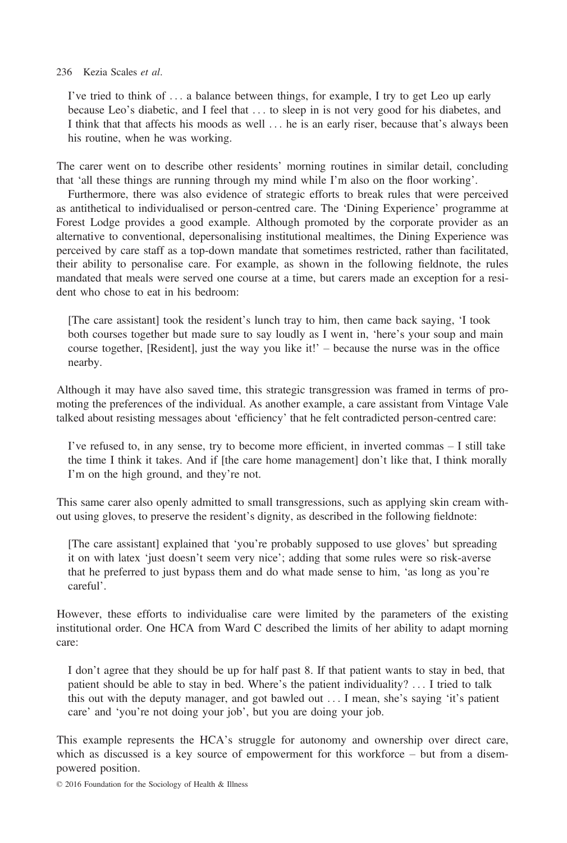I've tried to think of ... a balance between things, for example, I try to get Leo up early because Leo's diabetic, and I feel that ... to sleep in is not very good for his diabetes, and I think that that affects his moods as well ... he is an early riser, because that's always been his routine, when he was working.

The carer went on to describe other residents' morning routines in similar detail, concluding that 'all these things are running through my mind while I'm also on the floor working'.

Furthermore, there was also evidence of strategic efforts to break rules that were perceived as antithetical to individualised or person-centred care. The 'Dining Experience' programme at Forest Lodge provides a good example. Although promoted by the corporate provider as an alternative to conventional, depersonalising institutional mealtimes, the Dining Experience was perceived by care staff as a top-down mandate that sometimes restricted, rather than facilitated, their ability to personalise care. For example, as shown in the following fieldnote, the rules mandated that meals were served one course at a time, but carers made an exception for a resident who chose to eat in his bedroom:

[The care assistant] took the resident's lunch tray to him, then came back saying, 'I took both courses together but made sure to say loudly as I went in, 'here's your soup and main course together, [Resident], just the way you like it!' – because the nurse was in the office nearby.

Although it may have also saved time, this strategic transgression was framed in terms of promoting the preferences of the individual. As another example, a care assistant from Vintage Vale talked about resisting messages about 'efficiency' that he felt contradicted person-centred care:

I've refused to, in any sense, try to become more efficient, in inverted commas – I still take the time I think it takes. And if [the care home management] don't like that, I think morally I'm on the high ground, and they're not.

This same carer also openly admitted to small transgressions, such as applying skin cream without using gloves, to preserve the resident's dignity, as described in the following fieldnote:

[The care assistant] explained that 'you're probably supposed to use gloves' but spreading it on with latex 'just doesn't seem very nice'; adding that some rules were so risk-averse that he preferred to just bypass them and do what made sense to him, 'as long as you're careful'.

However, these efforts to individualise care were limited by the parameters of the existing institutional order. One HCA from Ward C described the limits of her ability to adapt morning care:

I don't agree that they should be up for half past 8. If that patient wants to stay in bed, that patient should be able to stay in bed. Where's the patient individuality? ... I tried to talk this out with the deputy manager, and got bawled out ... I mean, she's saying 'it's patient care' and 'you're not doing your job', but you are doing your job.

This example represents the HCA's struggle for autonomy and ownership over direct care, which as discussed is a key source of empowerment for this workforce – but from a disempowered position.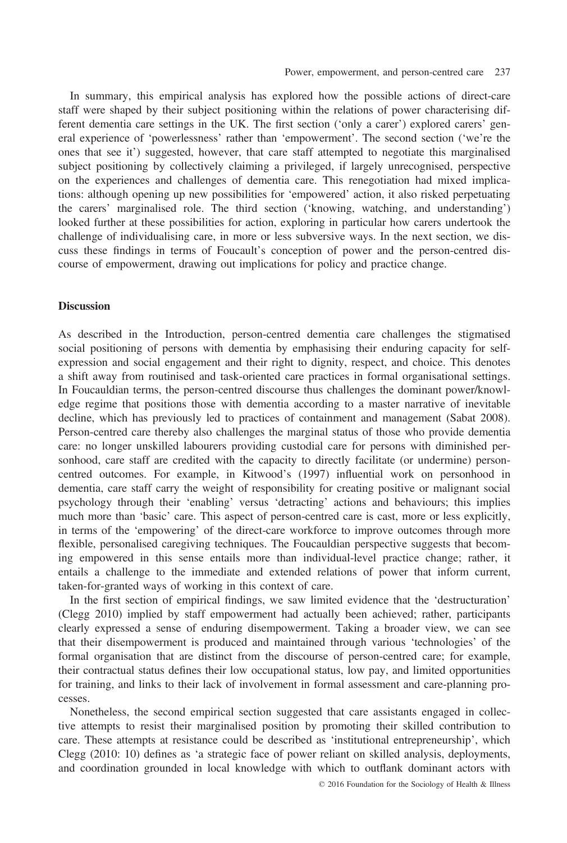In summary, this empirical analysis has explored how the possible actions of direct-care staff were shaped by their subject positioning within the relations of power characterising different dementia care settings in the UK. The first section ('only a carer') explored carers' general experience of 'powerlessness' rather than 'empowerment'. The second section ('we're the ones that see it') suggested, however, that care staff attempted to negotiate this marginalised subject positioning by collectively claiming a privileged, if largely unrecognised, perspective on the experiences and challenges of dementia care. This renegotiation had mixed implications: although opening up new possibilities for 'empowered' action, it also risked perpetuating the carers' marginalised role. The third section ('knowing, watching, and understanding') looked further at these possibilities for action, exploring in particular how carers undertook the challenge of individualising care, in more or less subversive ways. In the next section, we discuss these findings in terms of Foucault's conception of power and the person-centred discourse of empowerment, drawing out implications for policy and practice change.

#### **Discussion**

As described in the Introduction, person-centred dementia care challenges the stigmatised social positioning of persons with dementia by emphasising their enduring capacity for selfexpression and social engagement and their right to dignity, respect, and choice. This denotes a shift away from routinised and task-oriented care practices in formal organisational settings. In Foucauldian terms, the person-centred discourse thus challenges the dominant power/knowledge regime that positions those with dementia according to a master narrative of inevitable decline, which has previously led to practices of containment and management (Sabat 2008). Person-centred care thereby also challenges the marginal status of those who provide dementia care: no longer unskilled labourers providing custodial care for persons with diminished personhood, care staff are credited with the capacity to directly facilitate (or undermine) personcentred outcomes. For example, in Kitwood's (1997) influential work on personhood in dementia, care staff carry the weight of responsibility for creating positive or malignant social psychology through their 'enabling' versus 'detracting' actions and behaviours; this implies much more than 'basic' care. This aspect of person-centred care is cast, more or less explicitly, in terms of the 'empowering' of the direct-care workforce to improve outcomes through more flexible, personalised caregiving techniques. The Foucauldian perspective suggests that becoming empowered in this sense entails more than individual-level practice change; rather, it entails a challenge to the immediate and extended relations of power that inform current, taken-for-granted ways of working in this context of care.

In the first section of empirical findings, we saw limited evidence that the 'destructuration' (Clegg 2010) implied by staff empowerment had actually been achieved; rather, participants clearly expressed a sense of enduring disempowerment. Taking a broader view, we can see that their disempowerment is produced and maintained through various 'technologies' of the formal organisation that are distinct from the discourse of person-centred care; for example, their contractual status defines their low occupational status, low pay, and limited opportunities for training, and links to their lack of involvement in formal assessment and care-planning processes.

Nonetheless, the second empirical section suggested that care assistants engaged in collective attempts to resist their marginalised position by promoting their skilled contribution to care. These attempts at resistance could be described as 'institutional entrepreneurship', which Clegg (2010: 10) defines as 'a strategic face of power reliant on skilled analysis, deployments, and coordination grounded in local knowledge with which to outflank dominant actors with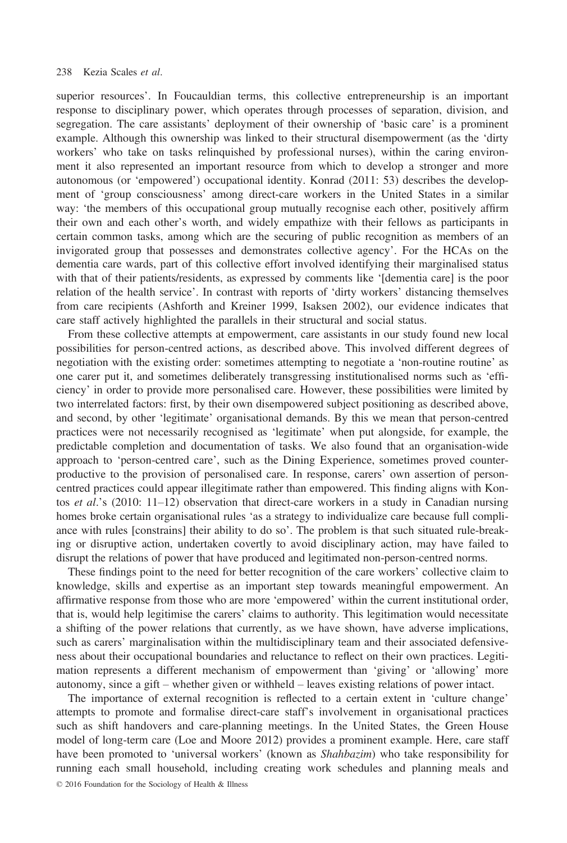superior resources'. In Foucauldian terms, this collective entrepreneurship is an important response to disciplinary power, which operates through processes of separation, division, and segregation. The care assistants' deployment of their ownership of 'basic care' is a prominent example. Although this ownership was linked to their structural disempowerment (as the 'dirty workers' who take on tasks relinquished by professional nurses), within the caring environment it also represented an important resource from which to develop a stronger and more autonomous (or 'empowered') occupational identity. Konrad (2011: 53) describes the development of 'group consciousness' among direct-care workers in the United States in a similar way: 'the members of this occupational group mutually recognise each other, positively affirm their own and each other's worth, and widely empathize with their fellows as participants in certain common tasks, among which are the securing of public recognition as members of an invigorated group that possesses and demonstrates collective agency'. For the HCAs on the dementia care wards, part of this collective effort involved identifying their marginalised status with that of their patients/residents, as expressed by comments like '[dementia care] is the poor relation of the health service'. In contrast with reports of 'dirty workers' distancing themselves from care recipients (Ashforth and Kreiner 1999, Isaksen 2002), our evidence indicates that care staff actively highlighted the parallels in their structural and social status.

From these collective attempts at empowerment, care assistants in our study found new local possibilities for person-centred actions, as described above. This involved different degrees of negotiation with the existing order: sometimes attempting to negotiate a 'non-routine routine' as one carer put it, and sometimes deliberately transgressing institutionalised norms such as 'efficiency' in order to provide more personalised care. However, these possibilities were limited by two interrelated factors: first, by their own disempowered subject positioning as described above, and second, by other 'legitimate' organisational demands. By this we mean that person-centred practices were not necessarily recognised as 'legitimate' when put alongside, for example, the predictable completion and documentation of tasks. We also found that an organisation-wide approach to 'person-centred care', such as the Dining Experience, sometimes proved counterproductive to the provision of personalised care. In response, carers' own assertion of personcentred practices could appear illegitimate rather than empowered. This finding aligns with Kontos et al.'s (2010: 11–12) observation that direct-care workers in a study in Canadian nursing homes broke certain organisational rules 'as a strategy to individualize care because full compliance with rules [constrains] their ability to do so'. The problem is that such situated rule-breaking or disruptive action, undertaken covertly to avoid disciplinary action, may have failed to disrupt the relations of power that have produced and legitimated non-person-centred norms.

These findings point to the need for better recognition of the care workers' collective claim to knowledge, skills and expertise as an important step towards meaningful empowerment. An affirmative response from those who are more 'empowered' within the current institutional order, that is, would help legitimise the carers' claims to authority. This legitimation would necessitate a shifting of the power relations that currently, as we have shown, have adverse implications, such as carers' marginalisation within the multidisciplinary team and their associated defensiveness about their occupational boundaries and reluctance to reflect on their own practices. Legitimation represents a different mechanism of empowerment than 'giving' or 'allowing' more autonomy, since a gift – whether given or withheld – leaves existing relations of power intact.

The importance of external recognition is reflected to a certain extent in 'culture change' attempts to promote and formalise direct-care staff's involvement in organisational practices such as shift handovers and care-planning meetings. In the United States, the Green House model of long-term care (Loe and Moore 2012) provides a prominent example. Here, care staff have been promoted to 'universal workers' (known as Shahbazim) who take responsibility for running each small household, including creating work schedules and planning meals and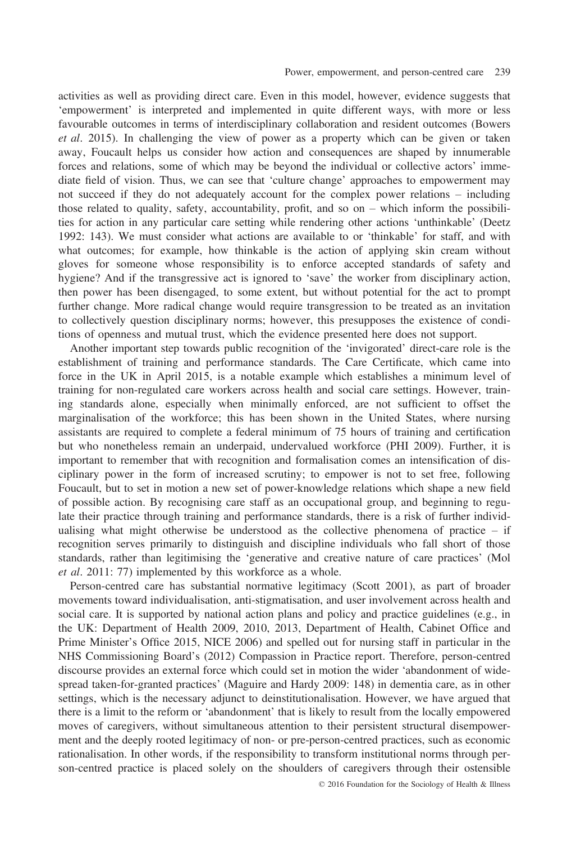activities as well as providing direct care. Even in this model, however, evidence suggests that 'empowerment' is interpreted and implemented in quite different ways, with more or less favourable outcomes in terms of interdisciplinary collaboration and resident outcomes (Bowers et al. 2015). In challenging the view of power as a property which can be given or taken away, Foucault helps us consider how action and consequences are shaped by innumerable forces and relations, some of which may be beyond the individual or collective actors' immediate field of vision. Thus, we can see that 'culture change' approaches to empowerment may not succeed if they do not adequately account for the complex power relations – including those related to quality, safety, accountability, profit, and so on – which inform the possibilities for action in any particular care setting while rendering other actions 'unthinkable' (Deetz 1992: 143). We must consider what actions are available to or 'thinkable' for staff, and with what outcomes; for example, how thinkable is the action of applying skin cream without gloves for someone whose responsibility is to enforce accepted standards of safety and hygiene? And if the transgressive act is ignored to 'save' the worker from disciplinary action, then power has been disengaged, to some extent, but without potential for the act to prompt further change. More radical change would require transgression to be treated as an invitation to collectively question disciplinary norms; however, this presupposes the existence of conditions of openness and mutual trust, which the evidence presented here does not support.

Another important step towards public recognition of the 'invigorated' direct-care role is the establishment of training and performance standards. The Care Certificate, which came into force in the UK in April 2015, is a notable example which establishes a minimum level of training for non-regulated care workers across health and social care settings. However, training standards alone, especially when minimally enforced, are not sufficient to offset the marginalisation of the workforce; this has been shown in the United States, where nursing assistants are required to complete a federal minimum of 75 hours of training and certification but who nonetheless remain an underpaid, undervalued workforce (PHI 2009). Further, it is important to remember that with recognition and formalisation comes an intensification of disciplinary power in the form of increased scrutiny; to empower is not to set free, following Foucault, but to set in motion a new set of power-knowledge relations which shape a new field of possible action. By recognising care staff as an occupational group, and beginning to regulate their practice through training and performance standards, there is a risk of further individualising what might otherwise be understood as the collective phenomena of practice  $-$  if recognition serves primarily to distinguish and discipline individuals who fall short of those standards, rather than legitimising the 'generative and creative nature of care practices' (Mol et al. 2011: 77) implemented by this workforce as a whole.

Person-centred care has substantial normative legitimacy (Scott 2001), as part of broader movements toward individualisation, anti-stigmatisation, and user involvement across health and social care. It is supported by national action plans and policy and practice guidelines (e.g., in the UK: Department of Health 2009, 2010, 2013, Department of Health, Cabinet Office and Prime Minister's Office 2015, NICE 2006) and spelled out for nursing staff in particular in the NHS Commissioning Board's (2012) Compassion in Practice report. Therefore, person-centred discourse provides an external force which could set in motion the wider 'abandonment of widespread taken-for-granted practices' (Maguire and Hardy 2009: 148) in dementia care, as in other settings, which is the necessary adjunct to deinstitutionalisation. However, we have argued that there is a limit to the reform or 'abandonment' that is likely to result from the locally empowered moves of caregivers, without simultaneous attention to their persistent structural disempowerment and the deeply rooted legitimacy of non- or pre-person-centred practices, such as economic rationalisation. In other words, if the responsibility to transform institutional norms through person-centred practice is placed solely on the shoulders of caregivers through their ostensible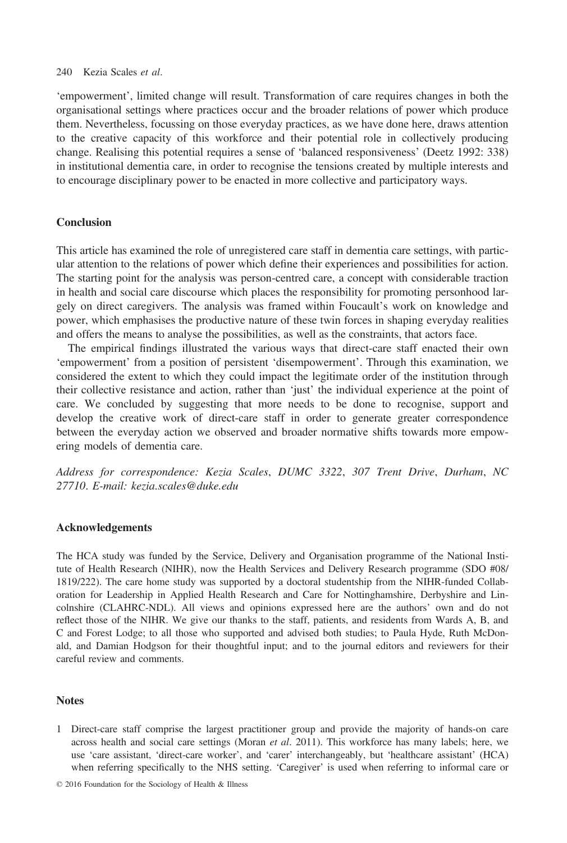'empowerment', limited change will result. Transformation of care requires changes in both the organisational settings where practices occur and the broader relations of power which produce them. Nevertheless, focussing on those everyday practices, as we have done here, draws attention to the creative capacity of this workforce and their potential role in collectively producing change. Realising this potential requires a sense of 'balanced responsiveness' (Deetz 1992: 338) in institutional dementia care, in order to recognise the tensions created by multiple interests and to encourage disciplinary power to be enacted in more collective and participatory ways.

#### Conclusion

This article has examined the role of unregistered care staff in dementia care settings, with particular attention to the relations of power which define their experiences and possibilities for action. The starting point for the analysis was person-centred care, a concept with considerable traction in health and social care discourse which places the responsibility for promoting personhood largely on direct caregivers. The analysis was framed within Foucault's work on knowledge and power, which emphasises the productive nature of these twin forces in shaping everyday realities and offers the means to analyse the possibilities, as well as the constraints, that actors face.

The empirical findings illustrated the various ways that direct-care staff enacted their own 'empowerment' from a position of persistent 'disempowerment'. Through this examination, we considered the extent to which they could impact the legitimate order of the institution through their collective resistance and action, rather than 'just' the individual experience at the point of care. We concluded by suggesting that more needs to be done to recognise, support and develop the creative work of direct-care staff in order to generate greater correspondence between the everyday action we observed and broader normative shifts towards more empowering models of dementia care.

Address for correspondence: Kezia Scales, DUMC 3322, 307 Trent Drive, Durham, NC 27710. E-mail: kezia.scales@duke.edu

#### Acknowledgements

The HCA study was funded by the Service, Delivery and Organisation programme of the National Institute of Health Research (NIHR), now the Health Services and Delivery Research programme (SDO #08/ 1819/222). The care home study was supported by a doctoral studentship from the NIHR-funded Collaboration for Leadership in Applied Health Research and Care for Nottinghamshire, Derbyshire and Lincolnshire (CLAHRC-NDL). All views and opinions expressed here are the authors' own and do not reflect those of the NIHR. We give our thanks to the staff, patients, and residents from Wards A, B, and C and Forest Lodge; to all those who supported and advised both studies; to Paula Hyde, Ruth McDonald, and Damian Hodgson for their thoughtful input; and to the journal editors and reviewers for their careful review and comments.

#### **Notes**

1 Direct-care staff comprise the largest practitioner group and provide the majority of hands-on care across health and social care settings (Moran et al. 2011). This workforce has many labels; here, we use 'care assistant, 'direct-care worker', and 'carer' interchangeably, but 'healthcare assistant' (HCA) when referring specifically to the NHS setting. 'Caregiver' is used when referring to informal care or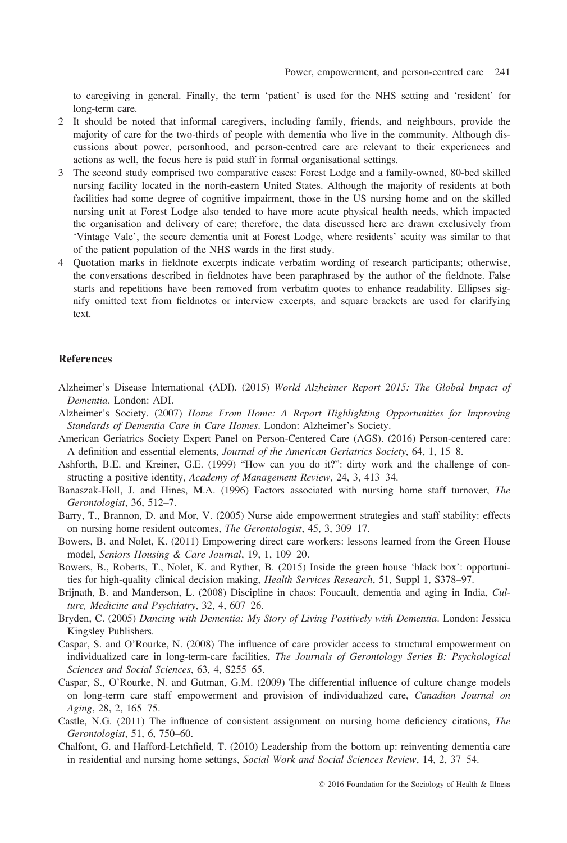to caregiving in general. Finally, the term 'patient' is used for the NHS setting and 'resident' for long-term care.

- 2 It should be noted that informal caregivers, including family, friends, and neighbours, provide the majority of care for the two-thirds of people with dementia who live in the community. Although discussions about power, personhood, and person-centred care are relevant to their experiences and actions as well, the focus here is paid staff in formal organisational settings.
- 3 The second study comprised two comparative cases: Forest Lodge and a family-owned, 80-bed skilled nursing facility located in the north-eastern United States. Although the majority of residents at both facilities had some degree of cognitive impairment, those in the US nursing home and on the skilled nursing unit at Forest Lodge also tended to have more acute physical health needs, which impacted the organisation and delivery of care; therefore, the data discussed here are drawn exclusively from 'Vintage Vale', the secure dementia unit at Forest Lodge, where residents' acuity was similar to that of the patient population of the NHS wards in the first study.
- 4 Quotation marks in fieldnote excerpts indicate verbatim wording of research participants; otherwise, the conversations described in fieldnotes have been paraphrased by the author of the fieldnote. False starts and repetitions have been removed from verbatim quotes to enhance readability. Ellipses signify omitted text from fieldnotes or interview excerpts, and square brackets are used for clarifying text.

#### References

- Alzheimer's Disease International (ADI). (2015) World Alzheimer Report 2015: The Global Impact of Dementia. London: ADI.
- Alzheimer's Society. (2007) Home From Home: A Report Highlighting Opportunities for Improving Standards of Dementia Care in Care Homes. London: Alzheimer's Society.
- American Geriatrics Society Expert Panel on Person-Centered Care (AGS). (2016) Person-centered care: A definition and essential elements, Journal of the American Geriatrics Society, 64, 1, 15–8.
- Ashforth, B.E. and Kreiner, G.E. (1999) "How can you do it?": dirty work and the challenge of constructing a positive identity, Academy of Management Review, 24, 3, 413–34.
- Banaszak-Holl, J. and Hines, M.A. (1996) Factors associated with nursing home staff turnover, The Gerontologist, 36, 512–7.
- Barry, T., Brannon, D. and Mor, V. (2005) Nurse aide empowerment strategies and staff stability: effects on nursing home resident outcomes, The Gerontologist, 45, 3, 309–17.
- Bowers, B. and Nolet, K. (2011) Empowering direct care workers: lessons learned from the Green House model, Seniors Housing & Care Journal, 19, 1, 109–20.
- Bowers, B., Roberts, T., Nolet, K. and Ryther, B. (2015) Inside the green house 'black box': opportunities for high-quality clinical decision making, *Health Services Research*, 51, Suppl 1, S378–97.
- Brijnath, B. and Manderson, L. (2008) Discipline in chaos: Foucault, dementia and aging in India, Culture, Medicine and Psychiatry, 32, 4, 607–26.
- Bryden, C. (2005) Dancing with Dementia: My Story of Living Positively with Dementia. London: Jessica Kingsley Publishers.
- Caspar, S. and O'Rourke, N. (2008) The influence of care provider access to structural empowerment on individualized care in long-term-care facilities, The Journals of Gerontology Series B: Psychological Sciences and Social Sciences, 63, 4, S255–65.
- Caspar, S., O'Rourke, N. and Gutman, G.M. (2009) The differential influence of culture change models on long-term care staff empowerment and provision of individualized care, Canadian Journal on Aging, 28, 2, 165–75.
- Castle, N.G. (2011) The influence of consistent assignment on nursing home deficiency citations, The Gerontologist, 51, 6, 750–60.
- Chalfont, G. and Hafford-Letchfield, T. (2010) Leadership from the bottom up: reinventing dementia care in residential and nursing home settings, Social Work and Social Sciences Review, 14, 2, 37–54.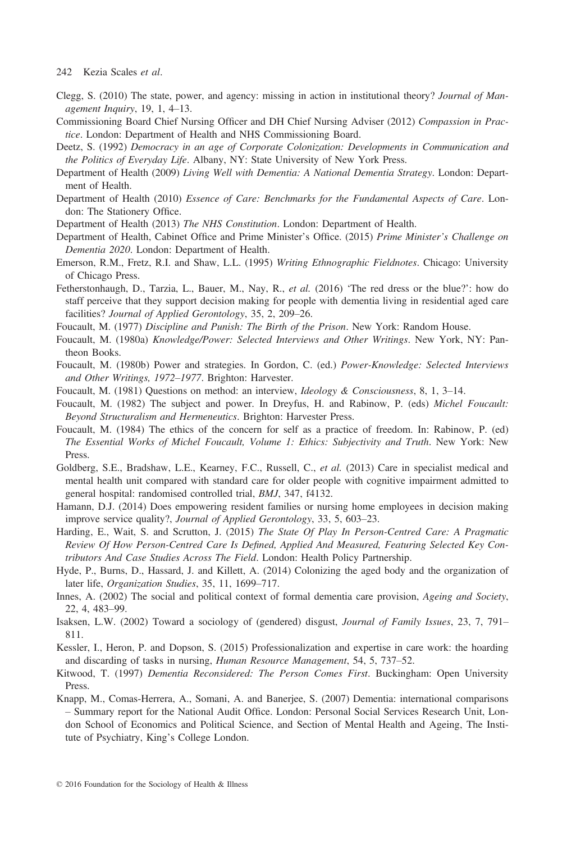- 242 Kezia Scales et al.
- Clegg, S. (2010) The state, power, and agency: missing in action in institutional theory? Journal of Management Inquiry, 19, 1, 4–13.
- Commissioning Board Chief Nursing Officer and DH Chief Nursing Adviser (2012) Compassion in Practice. London: Department of Health and NHS Commissioning Board.
- Deetz, S. (1992) Democracy in an age of Corporate Colonization: Developments in Communication and the Politics of Everyday Life. Albany, NY: State University of New York Press.
- Department of Health (2009) Living Well with Dementia: A National Dementia Strategy. London: Department of Health.
- Department of Health (2010) Essence of Care: Benchmarks for the Fundamental Aspects of Care. London: The Stationery Office.
- Department of Health (2013) The NHS Constitution. London: Department of Health.
- Department of Health, Cabinet Office and Prime Minister's Office. (2015) Prime Minister's Challenge on Dementia 2020. London: Department of Health.
- Emerson, R.M., Fretz, R.I. and Shaw, L.L. (1995) Writing Ethnographic Fieldnotes. Chicago: University of Chicago Press.
- Fetherstonhaugh, D., Tarzia, L., Bauer, M., Nay, R., et al. (2016) 'The red dress or the blue?': how do staff perceive that they support decision making for people with dementia living in residential aged care facilities? Journal of Applied Gerontology, 35, 2, 209–26.
- Foucault, M. (1977) Discipline and Punish: The Birth of the Prison. New York: Random House.
- Foucault, M. (1980a) Knowledge/Power: Selected Interviews and Other Writings. New York, NY: Pantheon Books.
- Foucault, M. (1980b) Power and strategies. In Gordon, C. (ed.) Power-Knowledge: Selected Interviews and Other Writings, 1972–1977. Brighton: Harvester.
- Foucault, M. (1981) Questions on method: an interview, Ideology & Consciousness, 8, 1, 3–14.
- Foucault, M. (1982) The subject and power. In Dreyfus, H. and Rabinow, P. (eds) Michel Foucault: Beyond Structuralism and Hermeneutics. Brighton: Harvester Press.
- Foucault, M. (1984) The ethics of the concern for self as a practice of freedom. In: Rabinow, P. (ed) The Essential Works of Michel Foucault, Volume 1: Ethics: Subjectivity and Truth. New York: New Press.
- Goldberg, S.E., Bradshaw, L.E., Kearney, F.C., Russell, C., et al. (2013) Care in specialist medical and mental health unit compared with standard care for older people with cognitive impairment admitted to general hospital: randomised controlled trial, BMJ, 347, f4132.
- Hamann, D.J. (2014) Does empowering resident families or nursing home employees in decision making improve service quality?, Journal of Applied Gerontology, 33, 5, 603–23.
- Harding, E., Wait, S. and Scrutton, J. (2015) The State Of Play In Person-Centred Care: A Pragmatic Review Of How Person-Centred Care Is Defined, Applied And Measured, Featuring Selected Key Contributors And Case Studies Across The Field. London: Health Policy Partnership.
- Hyde, P., Burns, D., Hassard, J. and Killett, A. (2014) Colonizing the aged body and the organization of later life, Organization Studies, 35, 11, 1699–717.
- Innes, A. (2002) The social and political context of formal dementia care provision, Ageing and Society, 22, 4, 483–99.
- Isaksen, L.W. (2002) Toward a sociology of (gendered) disgust, Journal of Family Issues, 23, 7, 791– 811.
- Kessler, I., Heron, P. and Dopson, S. (2015) Professionalization and expertise in care work: the hoarding and discarding of tasks in nursing, Human Resource Management, 54, 5, 737–52.
- Kitwood, T. (1997) Dementia Reconsidered: The Person Comes First. Buckingham: Open University Press.
- Knapp, M., Comas-Herrera, A., Somani, A. and Banerjee, S. (2007) Dementia: international comparisons – Summary report for the National Audit Office. London: Personal Social Services Research Unit, London School of Economics and Political Science, and Section of Mental Health and Ageing, The Institute of Psychiatry, King's College London.